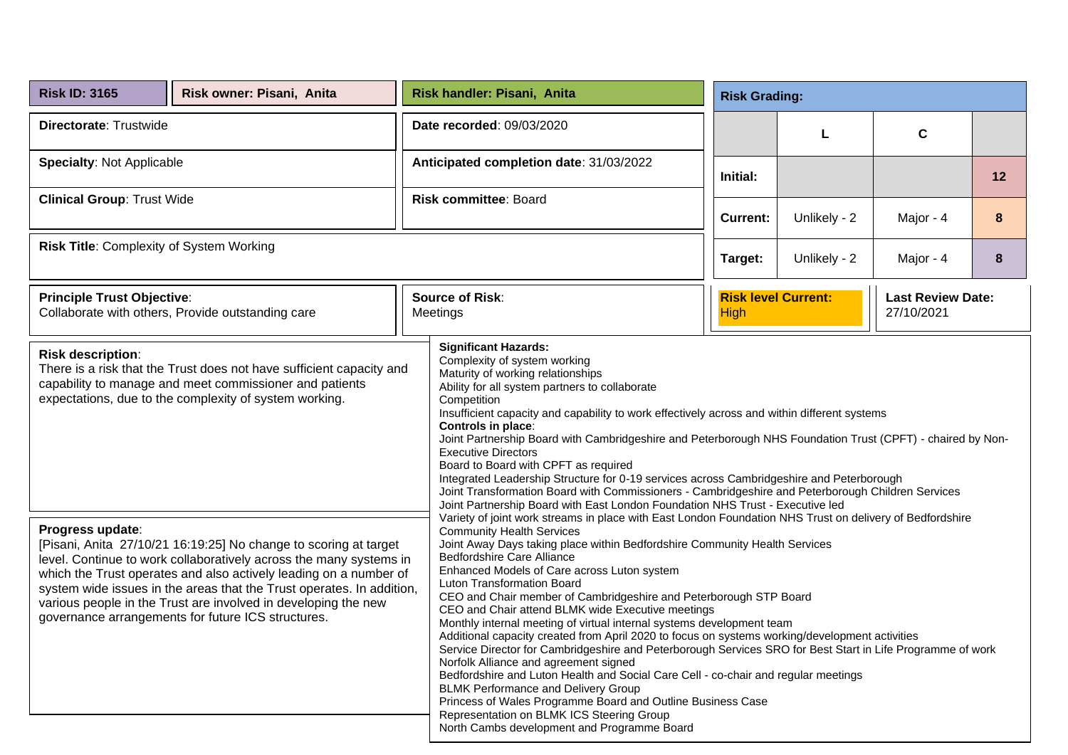| <b>Risk ID: 3165</b>                                                                                                                                                                                                                                                                                                                                                                                                                                                                                                                                                                                                                                                                                                                                                                                                                                                                                                                                                                   | Risk owner: Pisani, Anita                         | Risk handler: Pisani, Anita                                                                                                                                                                                                                                                                                                                                                                                                                                                                                                                                                                                                                                                                                                                                                                                                                                                                                                                                                                                                                                                                      |  |                 | <b>Risk Grading:</b>                                                 |             |    |  |  |  |
|----------------------------------------------------------------------------------------------------------------------------------------------------------------------------------------------------------------------------------------------------------------------------------------------------------------------------------------------------------------------------------------------------------------------------------------------------------------------------------------------------------------------------------------------------------------------------------------------------------------------------------------------------------------------------------------------------------------------------------------------------------------------------------------------------------------------------------------------------------------------------------------------------------------------------------------------------------------------------------------|---------------------------------------------------|--------------------------------------------------------------------------------------------------------------------------------------------------------------------------------------------------------------------------------------------------------------------------------------------------------------------------------------------------------------------------------------------------------------------------------------------------------------------------------------------------------------------------------------------------------------------------------------------------------------------------------------------------------------------------------------------------------------------------------------------------------------------------------------------------------------------------------------------------------------------------------------------------------------------------------------------------------------------------------------------------------------------------------------------------------------------------------------------------|--|-----------------|----------------------------------------------------------------------|-------------|----|--|--|--|
| Directorate: Trustwide                                                                                                                                                                                                                                                                                                                                                                                                                                                                                                                                                                                                                                                                                                                                                                                                                                                                                                                                                                 |                                                   | Date recorded: 09/03/2020                                                                                                                                                                                                                                                                                                                                                                                                                                                                                                                                                                                                                                                                                                                                                                                                                                                                                                                                                                                                                                                                        |  |                 | L                                                                    | $\mathbf c$ |    |  |  |  |
| <b>Specialty: Not Applicable</b>                                                                                                                                                                                                                                                                                                                                                                                                                                                                                                                                                                                                                                                                                                                                                                                                                                                                                                                                                       |                                                   | Anticipated completion date: 31/03/2022                                                                                                                                                                                                                                                                                                                                                                                                                                                                                                                                                                                                                                                                                                                                                                                                                                                                                                                                                                                                                                                          |  | Initial:        |                                                                      |             | 12 |  |  |  |
| <b>Clinical Group: Trust Wide</b>                                                                                                                                                                                                                                                                                                                                                                                                                                                                                                                                                                                                                                                                                                                                                                                                                                                                                                                                                      |                                                   | <b>Risk committee: Board</b>                                                                                                                                                                                                                                                                                                                                                                                                                                                                                                                                                                                                                                                                                                                                                                                                                                                                                                                                                                                                                                                                     |  | <b>Current:</b> | Unlikely - 2                                                         | Major - 4   | 8  |  |  |  |
| Risk Title: Complexity of System Working                                                                                                                                                                                                                                                                                                                                                                                                                                                                                                                                                                                                                                                                                                                                                                                                                                                                                                                                               |                                                   |                                                                                                                                                                                                                                                                                                                                                                                                                                                                                                                                                                                                                                                                                                                                                                                                                                                                                                                                                                                                                                                                                                  |  | Target:         | Unlikely - 2<br>Major - 4<br>8                                       |             |    |  |  |  |
| <b>Principle Trust Objective:</b>                                                                                                                                                                                                                                                                                                                                                                                                                                                                                                                                                                                                                                                                                                                                                                                                                                                                                                                                                      | Collaborate with others, Provide outstanding care | <b>Source of Risk:</b><br>Meetings                                                                                                                                                                                                                                                                                                                                                                                                                                                                                                                                                                                                                                                                                                                                                                                                                                                                                                                                                                                                                                                               |  | <b>High</b>     | <b>Risk level Current:</b><br><b>Last Review Date:</b><br>27/10/2021 |             |    |  |  |  |
| <b>Significant Hazards:</b><br><b>Risk description:</b><br>Complexity of system working<br>There is a risk that the Trust does not have sufficient capacity and<br>Maturity of working relationships<br>capability to manage and meet commissioner and patients<br>Ability for all system partners to collaborate<br>expectations, due to the complexity of system working.<br>Competition<br>Insufficient capacity and capability to work effectively across and within different systems<br>Controls in place:<br>Joint Partnership Board with Cambridgeshire and Peterborough NHS Foundation Trust (CPFT) - chaired by Non-<br><b>Executive Directors</b><br>Board to Board with CPFT as required<br>Integrated Leadership Structure for 0-19 services across Cambridgeshire and Peterborough<br>Joint Transformation Board with Commissioners - Cambridgeshire and Peterborough Children Services<br>Joint Partnership Board with East London Foundation NHS Trust - Executive led |                                                   |                                                                                                                                                                                                                                                                                                                                                                                                                                                                                                                                                                                                                                                                                                                                                                                                                                                                                                                                                                                                                                                                                                  |  |                 |                                                                      |             |    |  |  |  |
| Progress update:<br>[Pisani, Anita 27/10/21 16:19:25] No change to scoring at target<br>level. Continue to work collaboratively across the many systems in<br>which the Trust operates and also actively leading on a number of<br>system wide issues in the areas that the Trust operates. In addition,<br>various people in the Trust are involved in developing the new<br>governance arrangements for future ICS structures.                                                                                                                                                                                                                                                                                                                                                                                                                                                                                                                                                       |                                                   | Variety of joint work streams in place with East London Foundation NHS Trust on delivery of Bedfordshire<br><b>Community Health Services</b><br>Joint Away Days taking place within Bedfordshire Community Health Services<br>Bedfordshire Care Alliance<br>Enhanced Models of Care across Luton system<br>Luton Transformation Board<br>CEO and Chair member of Cambridgeshire and Peterborough STP Board<br>CEO and Chair attend BLMK wide Executive meetings<br>Monthly internal meeting of virtual internal systems development team<br>Additional capacity created from April 2020 to focus on systems working/development activities<br>Service Director for Cambridgeshire and Peterborough Services SRO for Best Start in Life Programme of work<br>Norfolk Alliance and agreement signed<br>Bedfordshire and Luton Health and Social Care Cell - co-chair and regular meetings<br><b>BLMK Performance and Delivery Group</b><br>Princess of Wales Programme Board and Outline Business Case<br>Representation on BLMK ICS Steering Group<br>North Cambs development and Programme Board |  |                 |                                                                      |             |    |  |  |  |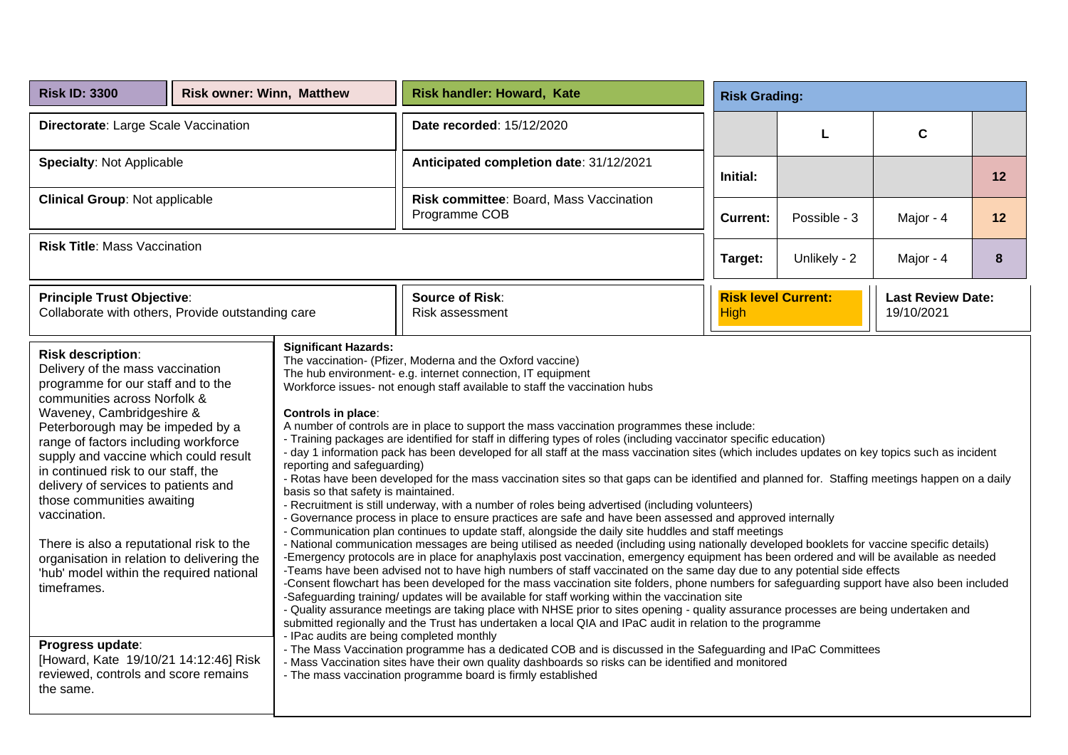| <b>Risk ID: 3300</b>                                                                                                                                                                                                                                                                                                                                                                                                                                                                                                                                                                                                                                                                                                                                                                                                                                                                                                                                                                                                                                                                                                                                                                                                                                                                                                                                                                                                                                                                                                                                                                                                                                                                                                                                                                                                                                                                                                                                                                                                                                                                                                                                                                                                                                                                                                                                                                                                                                                                                                                                                                                                                                                                                                                                                                                                                                                                                                                                                                                                                                                                                                                             | <b>Risk owner: Winn, Matthew</b> |  | <b>Risk handler: Howard, Kate</b>                        | <b>Risk Grading:</b> |                                                                      |           |    |
|--------------------------------------------------------------------------------------------------------------------------------------------------------------------------------------------------------------------------------------------------------------------------------------------------------------------------------------------------------------------------------------------------------------------------------------------------------------------------------------------------------------------------------------------------------------------------------------------------------------------------------------------------------------------------------------------------------------------------------------------------------------------------------------------------------------------------------------------------------------------------------------------------------------------------------------------------------------------------------------------------------------------------------------------------------------------------------------------------------------------------------------------------------------------------------------------------------------------------------------------------------------------------------------------------------------------------------------------------------------------------------------------------------------------------------------------------------------------------------------------------------------------------------------------------------------------------------------------------------------------------------------------------------------------------------------------------------------------------------------------------------------------------------------------------------------------------------------------------------------------------------------------------------------------------------------------------------------------------------------------------------------------------------------------------------------------------------------------------------------------------------------------------------------------------------------------------------------------------------------------------------------------------------------------------------------------------------------------------------------------------------------------------------------------------------------------------------------------------------------------------------------------------------------------------------------------------------------------------------------------------------------------------------------------------------------------------------------------------------------------------------------------------------------------------------------------------------------------------------------------------------------------------------------------------------------------------------------------------------------------------------------------------------------------------------------------------------------------------------------------------------------------------|----------------------------------|--|----------------------------------------------------------|----------------------|----------------------------------------------------------------------|-----------|----|
| Directorate: Large Scale Vaccination                                                                                                                                                                                                                                                                                                                                                                                                                                                                                                                                                                                                                                                                                                                                                                                                                                                                                                                                                                                                                                                                                                                                                                                                                                                                                                                                                                                                                                                                                                                                                                                                                                                                                                                                                                                                                                                                                                                                                                                                                                                                                                                                                                                                                                                                                                                                                                                                                                                                                                                                                                                                                                                                                                                                                                                                                                                                                                                                                                                                                                                                                                             |                                  |  | Date recorded: 15/12/2020                                |                      | L                                                                    | C         |    |
| <b>Specialty: Not Applicable</b>                                                                                                                                                                                                                                                                                                                                                                                                                                                                                                                                                                                                                                                                                                                                                                                                                                                                                                                                                                                                                                                                                                                                                                                                                                                                                                                                                                                                                                                                                                                                                                                                                                                                                                                                                                                                                                                                                                                                                                                                                                                                                                                                                                                                                                                                                                                                                                                                                                                                                                                                                                                                                                                                                                                                                                                                                                                                                                                                                                                                                                                                                                                 |                                  |  | Anticipated completion date: 31/12/2021                  | Initial:             |                                                                      |           | 12 |
| <b>Clinical Group: Not applicable</b>                                                                                                                                                                                                                                                                                                                                                                                                                                                                                                                                                                                                                                                                                                                                                                                                                                                                                                                                                                                                                                                                                                                                                                                                                                                                                                                                                                                                                                                                                                                                                                                                                                                                                                                                                                                                                                                                                                                                                                                                                                                                                                                                                                                                                                                                                                                                                                                                                                                                                                                                                                                                                                                                                                                                                                                                                                                                                                                                                                                                                                                                                                            |                                  |  | Risk committee: Board, Mass Vaccination<br>Programme COB | <b>Current:</b>      | Possible - 3                                                         | Major - 4 | 12 |
| <b>Risk Title: Mass Vaccination</b>                                                                                                                                                                                                                                                                                                                                                                                                                                                                                                                                                                                                                                                                                                                                                                                                                                                                                                                                                                                                                                                                                                                                                                                                                                                                                                                                                                                                                                                                                                                                                                                                                                                                                                                                                                                                                                                                                                                                                                                                                                                                                                                                                                                                                                                                                                                                                                                                                                                                                                                                                                                                                                                                                                                                                                                                                                                                                                                                                                                                                                                                                                              |                                  |  |                                                          | Target:              | Unlikely - 2                                                         | Major - 4 | 8  |
| <b>Principle Trust Objective:</b><br>Collaborate with others, Provide outstanding care                                                                                                                                                                                                                                                                                                                                                                                                                                                                                                                                                                                                                                                                                                                                                                                                                                                                                                                                                                                                                                                                                                                                                                                                                                                                                                                                                                                                                                                                                                                                                                                                                                                                                                                                                                                                                                                                                                                                                                                                                                                                                                                                                                                                                                                                                                                                                                                                                                                                                                                                                                                                                                                                                                                                                                                                                                                                                                                                                                                                                                                           |                                  |  | <b>Source of Risk:</b><br>Risk assessment                | <b>High</b>          | <b>Risk level Current:</b><br><b>Last Review Date:</b><br>19/10/2021 |           |    |
| <b>Significant Hazards:</b><br><b>Risk description:</b><br>The vaccination- (Pfizer, Moderna and the Oxford vaccine)<br>Delivery of the mass vaccination<br>The hub environment- e.g. internet connection, IT equipment<br>programme for our staff and to the<br>Workforce issues- not enough staff available to staff the vaccination hubs<br>communities across Norfolk &<br>Waveney, Cambridgeshire &<br>Controls in place:<br>A number of controls are in place to support the mass vaccination programmes these include:<br>Peterborough may be impeded by a<br>- Training packages are identified for staff in differing types of roles (including vaccinator specific education)<br>range of factors including workforce<br>- day 1 information pack has been developed for all staff at the mass vaccination sites (which includes updates on key topics such as incident<br>supply and vaccine which could result<br>reporting and safeguarding)<br>in continued risk to our staff, the<br>- Rotas have been developed for the mass vaccination sites so that gaps can be identified and planned for. Staffing meetings happen on a daily<br>delivery of services to patients and<br>basis so that safety is maintained.<br>those communities awaiting<br>- Recruitment is still underway, with a number of roles being advertised (including volunteers)<br>vaccination.<br>- Governance process in place to ensure practices are safe and have been assessed and approved internally<br>- Communication plan continues to update staff, alongside the daily site huddles and staff meetings<br>There is also a reputational risk to the<br>- National communication messages are being utilised as needed (including using nationally developed booklets for vaccine specific details)<br>-Emergency protocols are in place for anaphylaxis post vaccination, emergency equipment has been ordered and will be available as needed<br>organisation in relation to delivering the<br>-Teams have been advised not to have high numbers of staff vaccinated on the same day due to any potential side effects<br>'hub' model within the required national<br>-Consent flowchart has been developed for the mass vaccination site folders, phone numbers for safeguarding support have also been included<br>timeframes.<br>-Safeguarding training/ updates will be available for staff working within the vaccination site<br>- Quality assurance meetings are taking place with NHSE prior to sites opening - quality assurance processes are being undertaken and<br>submitted regionally and the Trust has undertaken a local QIA and IPaC audit in relation to the programme<br>- IPac audits are being completed monthly<br>Progress update:<br>- The Mass Vaccination programme has a dedicated COB and is discussed in the Safeguarding and IPaC Committees<br>[Howard, Kate 19/10/21 14:12:46] Risk<br>- Mass Vaccination sites have their own quality dashboards so risks can be identified and monitored<br>reviewed, controls and score remains<br>- The mass vaccination programme board is firmly established<br>the same. |                                  |  |                                                          |                      |                                                                      |           |    |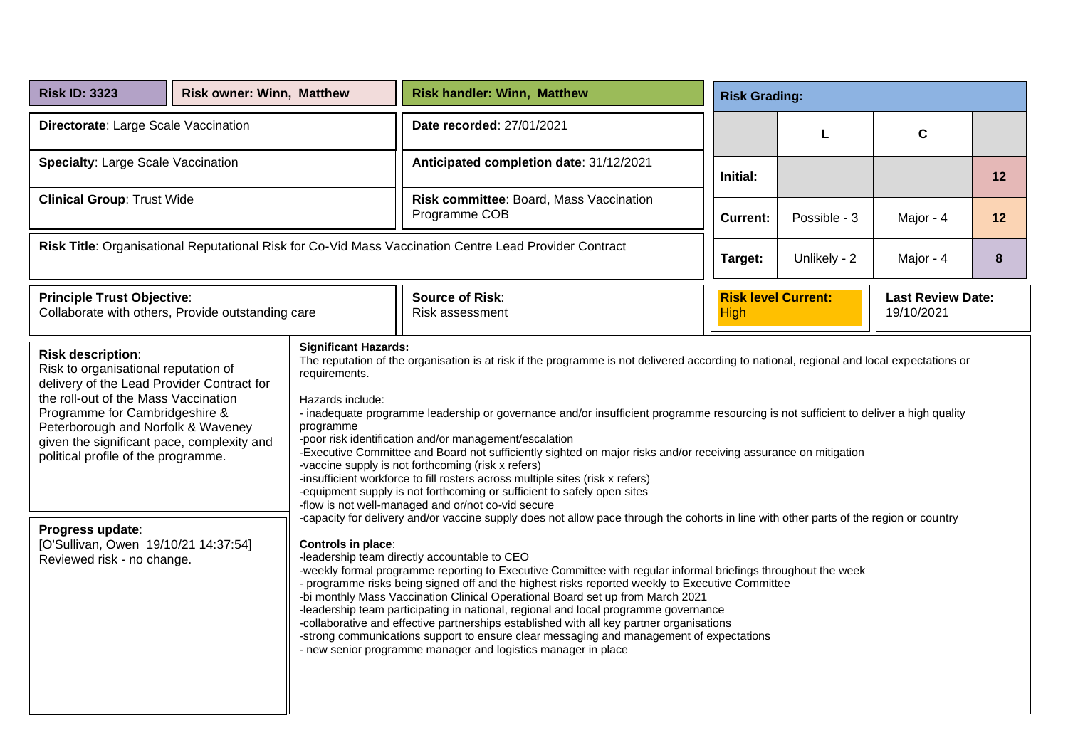| <b>Risk ID: 3323</b>                                                                                                                                                                                                                                                                                                                                                                                                                                                                                                                                                                                                                                                                                                                                                                                                                                                                                                                                                                                                                                                                                                                                                                                                                                                                                                                                                                                                                                                                                                                                                                                                                                                                                                                                                                                                                                                                                                                                                                                                                                                                                          | <b>Risk owner: Winn, Matthew</b> |  | <b>Risk handler: Winn, Matthew</b>                       | <b>Risk Grading:</b>                                                                |              |             |    |
|---------------------------------------------------------------------------------------------------------------------------------------------------------------------------------------------------------------------------------------------------------------------------------------------------------------------------------------------------------------------------------------------------------------------------------------------------------------------------------------------------------------------------------------------------------------------------------------------------------------------------------------------------------------------------------------------------------------------------------------------------------------------------------------------------------------------------------------------------------------------------------------------------------------------------------------------------------------------------------------------------------------------------------------------------------------------------------------------------------------------------------------------------------------------------------------------------------------------------------------------------------------------------------------------------------------------------------------------------------------------------------------------------------------------------------------------------------------------------------------------------------------------------------------------------------------------------------------------------------------------------------------------------------------------------------------------------------------------------------------------------------------------------------------------------------------------------------------------------------------------------------------------------------------------------------------------------------------------------------------------------------------------------------------------------------------------------------------------------------------|----------------------------------|--|----------------------------------------------------------|-------------------------------------------------------------------------------------|--------------|-------------|----|
| Directorate: Large Scale Vaccination                                                                                                                                                                                                                                                                                                                                                                                                                                                                                                                                                                                                                                                                                                                                                                                                                                                                                                                                                                                                                                                                                                                                                                                                                                                                                                                                                                                                                                                                                                                                                                                                                                                                                                                                                                                                                                                                                                                                                                                                                                                                          |                                  |  | Date recorded: 27/01/2021                                |                                                                                     | L            | $\mathbf c$ |    |
| <b>Specialty: Large Scale Vaccination</b>                                                                                                                                                                                                                                                                                                                                                                                                                                                                                                                                                                                                                                                                                                                                                                                                                                                                                                                                                                                                                                                                                                                                                                                                                                                                                                                                                                                                                                                                                                                                                                                                                                                                                                                                                                                                                                                                                                                                                                                                                                                                     |                                  |  | Anticipated completion date: 31/12/2021                  | Initial:                                                                            |              |             | 12 |
| <b>Clinical Group: Trust Wide</b>                                                                                                                                                                                                                                                                                                                                                                                                                                                                                                                                                                                                                                                                                                                                                                                                                                                                                                                                                                                                                                                                                                                                                                                                                                                                                                                                                                                                                                                                                                                                                                                                                                                                                                                                                                                                                                                                                                                                                                                                                                                                             |                                  |  | Risk committee: Board, Mass Vaccination<br>Programme COB | <b>Current:</b>                                                                     | Possible - 3 | Major - 4   | 12 |
| Risk Title: Organisational Reputational Risk for Co-Vid Mass Vaccination Centre Lead Provider Contract                                                                                                                                                                                                                                                                                                                                                                                                                                                                                                                                                                                                                                                                                                                                                                                                                                                                                                                                                                                                                                                                                                                                                                                                                                                                                                                                                                                                                                                                                                                                                                                                                                                                                                                                                                                                                                                                                                                                                                                                        |                                  |  |                                                          | Target:                                                                             | Unlikely - 2 | Major - 4   | 8  |
| <b>Principle Trust Objective:</b><br>Collaborate with others, Provide outstanding care                                                                                                                                                                                                                                                                                                                                                                                                                                                                                                                                                                                                                                                                                                                                                                                                                                                                                                                                                                                                                                                                                                                                                                                                                                                                                                                                                                                                                                                                                                                                                                                                                                                                                                                                                                                                                                                                                                                                                                                                                        |                                  |  | <b>Source of Risk:</b><br>Risk assessment                | <b>Risk level Current:</b><br><b>Last Review Date:</b><br>19/10/2021<br><b>High</b> |              |             |    |
| <b>Significant Hazards:</b><br><b>Risk description:</b><br>The reputation of the organisation is at risk if the programme is not delivered according to national, regional and local expectations or<br>Risk to organisational reputation of<br>requirements.<br>delivery of the Lead Provider Contract for<br>the roll-out of the Mass Vaccination<br>Hazards include:<br>Programme for Cambridgeshire &<br>- inadequate programme leadership or governance and/or insufficient programme resourcing is not sufficient to deliver a high quality<br>programme<br>Peterborough and Norfolk & Waveney<br>-poor risk identification and/or management/escalation<br>given the significant pace, complexity and<br>-Executive Committee and Board not sufficiently sighted on major risks and/or receiving assurance on mitigation<br>political profile of the programme.<br>-vaccine supply is not forthcoming (risk x refers)<br>-insufficient workforce to fill rosters across multiple sites (risk x refers)<br>-equipment supply is not forthcoming or sufficient to safely open sites<br>-flow is not well-managed and or/not co-vid secure<br>-capacity for delivery and/or vaccine supply does not allow pace through the cohorts in line with other parts of the region or country<br>Progress update:<br>[O'Sullivan, Owen 19/10/21 14:37:54]<br>Controls in place:<br>-leadership team directly accountable to CEO<br>Reviewed risk - no change.<br>-weekly formal programme reporting to Executive Committee with regular informal briefings throughout the week<br>- programme risks being signed off and the highest risks reported weekly to Executive Committee<br>-bi monthly Mass Vaccination Clinical Operational Board set up from March 2021<br>-leadership team participating in national, regional and local programme governance<br>-collaborative and effective partnerships established with all key partner organisations<br>-strong communications support to ensure clear messaging and management of expectations<br>- new senior programme manager and logistics manager in place |                                  |  |                                                          |                                                                                     |              |             |    |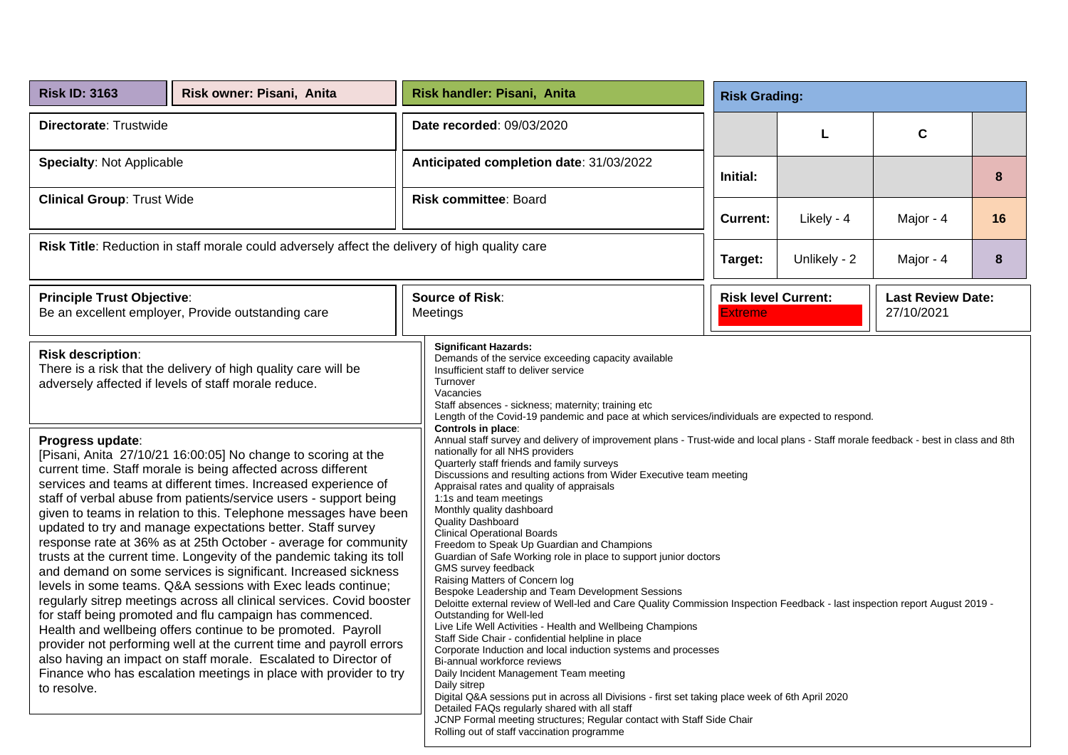| <b>Risk ID: 3163</b>                                                                                                                                                                                                                                                                                                                                                                                                                                                                                                                                                                                                                                                                                                                                                                                                                                                                                                                                                                                                                                                                                                                          | Risk owner: Pisani, Anita |  | Risk handler: Pisani, Anita                                                                                                                                                                                                                                                                                                                                                                                                                                                                                                                                                                                                                                                                                                                                                                                                                                                                                                                                                                                                                                                                                                                                                                                                                                                                                                                                                                                                         |          | <b>Risk Grading:</b>                                                                   |            |             |    |  |  |
|-----------------------------------------------------------------------------------------------------------------------------------------------------------------------------------------------------------------------------------------------------------------------------------------------------------------------------------------------------------------------------------------------------------------------------------------------------------------------------------------------------------------------------------------------------------------------------------------------------------------------------------------------------------------------------------------------------------------------------------------------------------------------------------------------------------------------------------------------------------------------------------------------------------------------------------------------------------------------------------------------------------------------------------------------------------------------------------------------------------------------------------------------|---------------------------|--|-------------------------------------------------------------------------------------------------------------------------------------------------------------------------------------------------------------------------------------------------------------------------------------------------------------------------------------------------------------------------------------------------------------------------------------------------------------------------------------------------------------------------------------------------------------------------------------------------------------------------------------------------------------------------------------------------------------------------------------------------------------------------------------------------------------------------------------------------------------------------------------------------------------------------------------------------------------------------------------------------------------------------------------------------------------------------------------------------------------------------------------------------------------------------------------------------------------------------------------------------------------------------------------------------------------------------------------------------------------------------------------------------------------------------------------|----------|----------------------------------------------------------------------------------------|------------|-------------|----|--|--|
| Directorate: Trustwide                                                                                                                                                                                                                                                                                                                                                                                                                                                                                                                                                                                                                                                                                                                                                                                                                                                                                                                                                                                                                                                                                                                        |                           |  | Date recorded: 09/03/2020                                                                                                                                                                                                                                                                                                                                                                                                                                                                                                                                                                                                                                                                                                                                                                                                                                                                                                                                                                                                                                                                                                                                                                                                                                                                                                                                                                                                           |          |                                                                                        | L          | $\mathbf c$ |    |  |  |
| <b>Specialty: Not Applicable</b>                                                                                                                                                                                                                                                                                                                                                                                                                                                                                                                                                                                                                                                                                                                                                                                                                                                                                                                                                                                                                                                                                                              |                           |  | Anticipated completion date: 31/03/2022                                                                                                                                                                                                                                                                                                                                                                                                                                                                                                                                                                                                                                                                                                                                                                                                                                                                                                                                                                                                                                                                                                                                                                                                                                                                                                                                                                                             | Initial: |                                                                                        |            |             | 8  |  |  |
| <b>Clinical Group: Trust Wide</b>                                                                                                                                                                                                                                                                                                                                                                                                                                                                                                                                                                                                                                                                                                                                                                                                                                                                                                                                                                                                                                                                                                             |                           |  | <b>Risk committee: Board</b>                                                                                                                                                                                                                                                                                                                                                                                                                                                                                                                                                                                                                                                                                                                                                                                                                                                                                                                                                                                                                                                                                                                                                                                                                                                                                                                                                                                                        |          | <b>Current:</b>                                                                        | Likely - 4 | Major - 4   | 16 |  |  |
| Risk Title: Reduction in staff morale could adversely affect the delivery of high quality care                                                                                                                                                                                                                                                                                                                                                                                                                                                                                                                                                                                                                                                                                                                                                                                                                                                                                                                                                                                                                                                |                           |  |                                                                                                                                                                                                                                                                                                                                                                                                                                                                                                                                                                                                                                                                                                                                                                                                                                                                                                                                                                                                                                                                                                                                                                                                                                                                                                                                                                                                                                     |          | Unlikely - 2<br>Target:<br>Major - 4                                                   |            |             | 8  |  |  |
| <b>Principle Trust Objective:</b><br>Be an excellent employer, Provide outstanding care                                                                                                                                                                                                                                                                                                                                                                                                                                                                                                                                                                                                                                                                                                                                                                                                                                                                                                                                                                                                                                                       |                           |  | <b>Source of Risk:</b><br>Meetings                                                                                                                                                                                                                                                                                                                                                                                                                                                                                                                                                                                                                                                                                                                                                                                                                                                                                                                                                                                                                                                                                                                                                                                                                                                                                                                                                                                                  |          | <b>Risk level Current:</b><br><b>Last Review Date:</b><br>27/10/2021<br><b>Extreme</b> |            |             |    |  |  |
| <b>Risk description:</b><br>There is a risk that the delivery of high quality care will be<br>adversely affected if levels of staff morale reduce.                                                                                                                                                                                                                                                                                                                                                                                                                                                                                                                                                                                                                                                                                                                                                                                                                                                                                                                                                                                            |                           |  | <b>Significant Hazards:</b><br>Demands of the service exceeding capacity available<br>Insufficient staff to deliver service<br>Turnover<br>Vacancies<br>Staff absences - sickness; maternity; training etc<br>Length of the Covid-19 pandemic and pace at which services/individuals are expected to respond.                                                                                                                                                                                                                                                                                                                                                                                                                                                                                                                                                                                                                                                                                                                                                                                                                                                                                                                                                                                                                                                                                                                       |          |                                                                                        |            |             |    |  |  |
| Progress update:<br>[Pisani, Anita 27/10/21 16:00:05] No change to scoring at the<br>current time. Staff morale is being affected across different<br>services and teams at different times. Increased experience of<br>staff of verbal abuse from patients/service users - support being<br>given to teams in relation to this. Telephone messages have been<br>updated to try and manage expectations better. Staff survey<br>response rate at 36% as at 25th October - average for community<br>trusts at the current time. Longevity of the pandemic taking its toll<br>and demand on some services is significant. Increased sickness<br>levels in some teams. Q&A sessions with Exec leads continue;<br>regularly sitrep meetings across all clinical services. Covid booster<br>for staff being promoted and flu campaign has commenced.<br>Health and wellbeing offers continue to be promoted. Payroll<br>provider not performing well at the current time and payroll errors<br>also having an impact on staff morale. Escalated to Director of<br>Finance who has escalation meetings in place with provider to try<br>to resolve. |                           |  | Controls in place:<br>Annual staff survey and delivery of improvement plans - Trust-wide and local plans - Staff morale feedback - best in class and 8th<br>nationally for all NHS providers<br>Quarterly staff friends and family surveys<br>Discussions and resulting actions from Wider Executive team meeting<br>Appraisal rates and quality of appraisals<br>1:1s and team meetings<br>Monthly quality dashboard<br>Quality Dashboard<br><b>Clinical Operational Boards</b><br>Freedom to Speak Up Guardian and Champions<br>Guardian of Safe Working role in place to support junior doctors<br>GMS survey feedback<br>Raising Matters of Concern log<br>Bespoke Leadership and Team Development Sessions<br>Deloitte external review of Well-led and Care Quality Commission Inspection Feedback - last inspection report August 2019 -<br>Outstanding for Well-led<br>Live Life Well Activities - Health and Wellbeing Champions<br>Staff Side Chair - confidential helpline in place<br>Corporate Induction and local induction systems and processes<br>Bi-annual workforce reviews<br>Daily Incident Management Team meeting<br>Daily sitrep<br>Digital Q&A sessions put in across all Divisions - first set taking place week of 6th April 2020<br>Detailed FAQs regularly shared with all staff<br>JCNP Formal meeting structures; Regular contact with Staff Side Chair<br>Rolling out of staff vaccination programme |          |                                                                                        |            |             |    |  |  |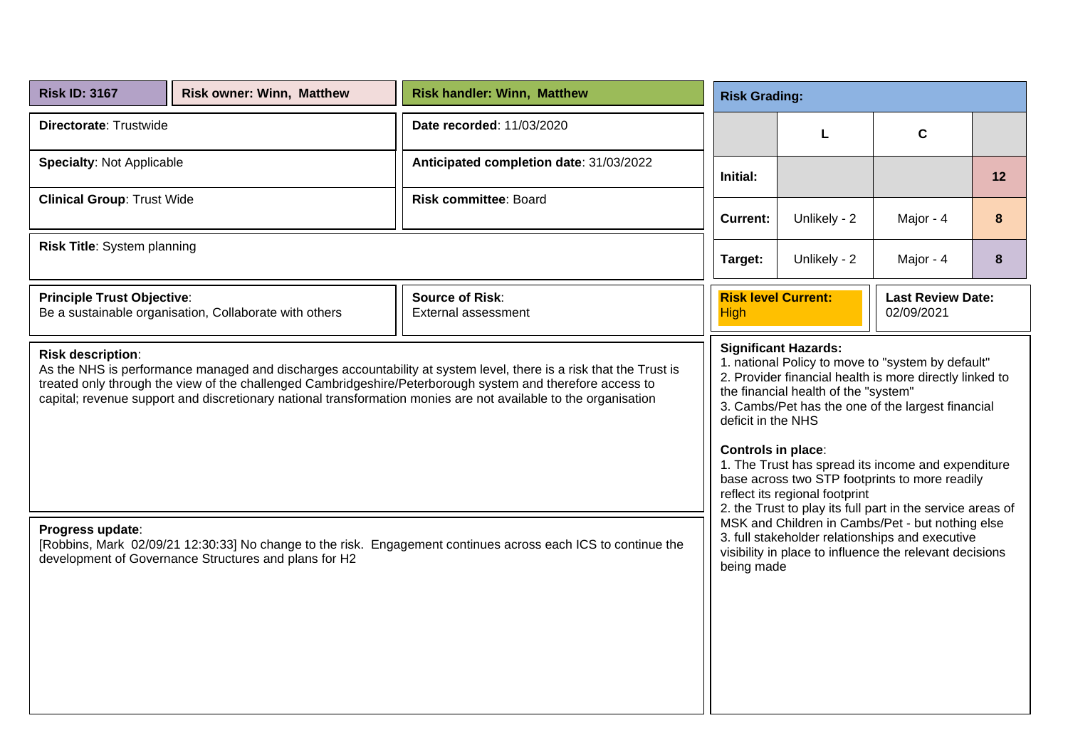| <b>Risk ID: 3167</b>                                                                                                                                                                                                                                                                                                                                                            | <b>Risk owner: Winn, Matthew</b>                       | <b>Risk handler: Winn, Matthew</b>            |                                                                                                                                                                                                                                                                                                                                                                                                                                                                                              | <b>Risk Grading:</b> |              |    |  |  |
|---------------------------------------------------------------------------------------------------------------------------------------------------------------------------------------------------------------------------------------------------------------------------------------------------------------------------------------------------------------------------------|--------------------------------------------------------|-----------------------------------------------|----------------------------------------------------------------------------------------------------------------------------------------------------------------------------------------------------------------------------------------------------------------------------------------------------------------------------------------------------------------------------------------------------------------------------------------------------------------------------------------------|----------------------|--------------|----|--|--|
| Directorate: Trustwide                                                                                                                                                                                                                                                                                                                                                          |                                                        | Date recorded: 11/03/2020                     |                                                                                                                                                                                                                                                                                                                                                                                                                                                                                              | L                    | $\mathbf{C}$ |    |  |  |
| <b>Specialty: Not Applicable</b>                                                                                                                                                                                                                                                                                                                                                |                                                        | Anticipated completion date: 31/03/2022       | Initial:                                                                                                                                                                                                                                                                                                                                                                                                                                                                                     |                      |              | 12 |  |  |
| <b>Clinical Group: Trust Wide</b>                                                                                                                                                                                                                                                                                                                                               |                                                        | <b>Risk committee: Board</b>                  | <b>Current:</b>                                                                                                                                                                                                                                                                                                                                                                                                                                                                              | Unlikely - 2         | Major - 4    | 8  |  |  |
| Risk Title: System planning                                                                                                                                                                                                                                                                                                                                                     |                                                        |                                               | Unlikely - 2<br>Target:<br>Major - 4                                                                                                                                                                                                                                                                                                                                                                                                                                                         |                      |              | 8  |  |  |
| <b>Principle Trust Objective:</b>                                                                                                                                                                                                                                                                                                                                               | Be a sustainable organisation, Collaborate with others | <b>Source of Risk:</b><br>External assessment | <b>Risk level Current:</b><br><b>Last Review Date:</b><br>02/09/2021<br><b>High</b>                                                                                                                                                                                                                                                                                                                                                                                                          |                      |              |    |  |  |
| <b>Risk description:</b><br>As the NHS is performance managed and discharges accountability at system level, there is a risk that the Trust is<br>treated only through the view of the challenged Cambridgeshire/Peterborough system and therefore access to<br>capital; revenue support and discretionary national transformation monies are not available to the organisation |                                                        |                                               | <b>Significant Hazards:</b><br>1. national Policy to move to "system by default"<br>2. Provider financial health is more directly linked to<br>the financial health of the "system"<br>3. Cambs/Pet has the one of the largest financial<br>deficit in the NHS<br>Controls in place:<br>1. The Trust has spread its income and expenditure<br>base across two STP footprints to more readily<br>reflect its regional footprint<br>2. the Trust to play its full part in the service areas of |                      |              |    |  |  |
| MSK and Children in Cambs/Pet - but nothing else<br>Progress update:<br>3. full stakeholder relationships and executive<br>[Robbins, Mark 02/09/21 12:30:33] No change to the risk. Engagement continues across each ICS to continue the<br>visibility in place to influence the relevant decisions<br>development of Governance Structures and plans for H2<br>being made      |                                                        |                                               |                                                                                                                                                                                                                                                                                                                                                                                                                                                                                              |                      |              |    |  |  |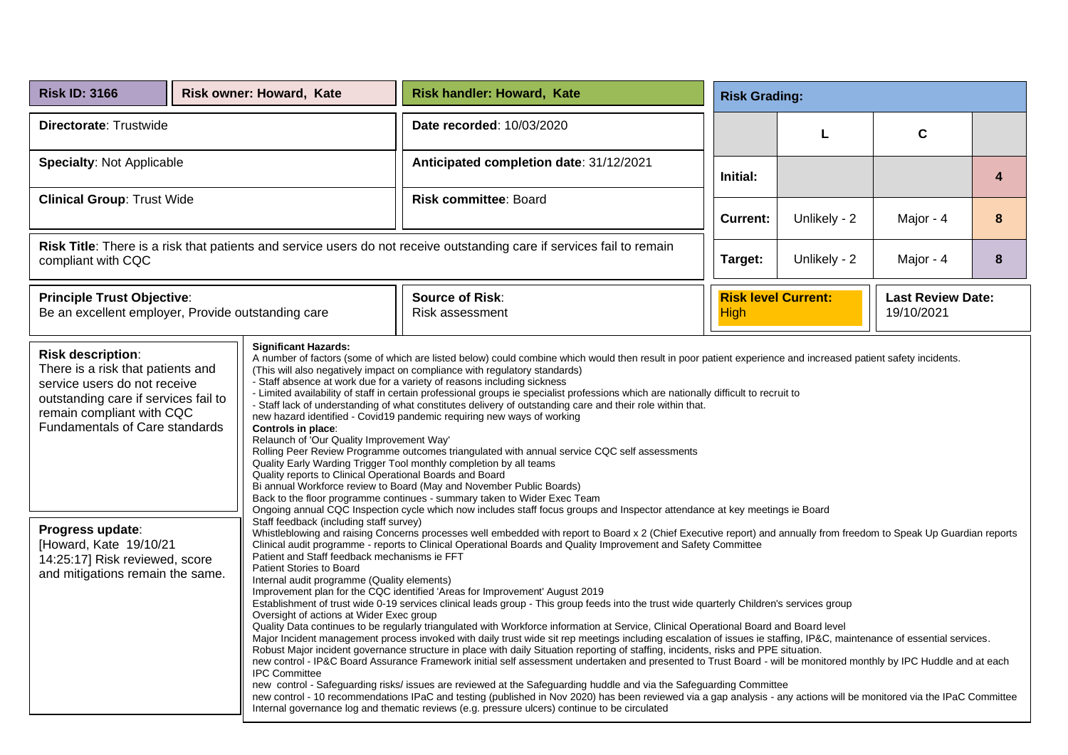| <b>Risk ID: 3166</b>                                                                                                                                                                                 |  | <b>Risk owner: Howard, Kate</b>                                                                                                                                                                                                                                                                                                                                                                                                                                                                                                                                                                                                                                                                                                                                                                                                                                                                                                                                                                                                                                                                                                                                                                                                                                                | <b>Risk handler: Howard, Kate</b>                                                                                                                                                                                                                                                                                                                                                                                                                                                                                                                                                                                                                                                                                                                                                                                                                                                                                                                                                                                                                                                                                                                                                                                                                                                                                                                                                                                                                                                                                                                  |                 | <b>Risk Grading:</b>       |                                        |   |  |  |
|------------------------------------------------------------------------------------------------------------------------------------------------------------------------------------------------------|--|--------------------------------------------------------------------------------------------------------------------------------------------------------------------------------------------------------------------------------------------------------------------------------------------------------------------------------------------------------------------------------------------------------------------------------------------------------------------------------------------------------------------------------------------------------------------------------------------------------------------------------------------------------------------------------------------------------------------------------------------------------------------------------------------------------------------------------------------------------------------------------------------------------------------------------------------------------------------------------------------------------------------------------------------------------------------------------------------------------------------------------------------------------------------------------------------------------------------------------------------------------------------------------|----------------------------------------------------------------------------------------------------------------------------------------------------------------------------------------------------------------------------------------------------------------------------------------------------------------------------------------------------------------------------------------------------------------------------------------------------------------------------------------------------------------------------------------------------------------------------------------------------------------------------------------------------------------------------------------------------------------------------------------------------------------------------------------------------------------------------------------------------------------------------------------------------------------------------------------------------------------------------------------------------------------------------------------------------------------------------------------------------------------------------------------------------------------------------------------------------------------------------------------------------------------------------------------------------------------------------------------------------------------------------------------------------------------------------------------------------------------------------------------------------------------------------------------------------|-----------------|----------------------------|----------------------------------------|---|--|--|
| Directorate: Trustwide                                                                                                                                                                               |  |                                                                                                                                                                                                                                                                                                                                                                                                                                                                                                                                                                                                                                                                                                                                                                                                                                                                                                                                                                                                                                                                                                                                                                                                                                                                                | Date recorded: 10/03/2020                                                                                                                                                                                                                                                                                                                                                                                                                                                                                                                                                                                                                                                                                                                                                                                                                                                                                                                                                                                                                                                                                                                                                                                                                                                                                                                                                                                                                                                                                                                          |                 | L                          | $\mathbf c$                            |   |  |  |
| <b>Specialty: Not Applicable</b>                                                                                                                                                                     |  |                                                                                                                                                                                                                                                                                                                                                                                                                                                                                                                                                                                                                                                                                                                                                                                                                                                                                                                                                                                                                                                                                                                                                                                                                                                                                | Anticipated completion date: 31/12/2021                                                                                                                                                                                                                                                                                                                                                                                                                                                                                                                                                                                                                                                                                                                                                                                                                                                                                                                                                                                                                                                                                                                                                                                                                                                                                                                                                                                                                                                                                                            | Initial:        |                            |                                        | 4 |  |  |
| <b>Clinical Group: Trust Wide</b>                                                                                                                                                                    |  |                                                                                                                                                                                                                                                                                                                                                                                                                                                                                                                                                                                                                                                                                                                                                                                                                                                                                                                                                                                                                                                                                                                                                                                                                                                                                | <b>Risk committee: Board</b>                                                                                                                                                                                                                                                                                                                                                                                                                                                                                                                                                                                                                                                                                                                                                                                                                                                                                                                                                                                                                                                                                                                                                                                                                                                                                                                                                                                                                                                                                                                       | <b>Current:</b> | Unlikely - 2               | Major - 4                              | 8 |  |  |
| Risk Title: There is a risk that patients and service users do not receive outstanding care if services fail to remain<br>compliant with CQC                                                         |  |                                                                                                                                                                                                                                                                                                                                                                                                                                                                                                                                                                                                                                                                                                                                                                                                                                                                                                                                                                                                                                                                                                                                                                                                                                                                                |                                                                                                                                                                                                                                                                                                                                                                                                                                                                                                                                                                                                                                                                                                                                                                                                                                                                                                                                                                                                                                                                                                                                                                                                                                                                                                                                                                                                                                                                                                                                                    | Target:         | Unlikely - 2               | Major - 4                              | 8 |  |  |
| <b>Principle Trust Objective:</b><br>Be an excellent employer, Provide outstanding care                                                                                                              |  |                                                                                                                                                                                                                                                                                                                                                                                                                                                                                                                                                                                                                                                                                                                                                                                                                                                                                                                                                                                                                                                                                                                                                                                                                                                                                | <b>Source of Risk:</b><br>Risk assessment                                                                                                                                                                                                                                                                                                                                                                                                                                                                                                                                                                                                                                                                                                                                                                                                                                                                                                                                                                                                                                                                                                                                                                                                                                                                                                                                                                                                                                                                                                          | <b>High</b>     | <b>Risk level Current:</b> | <b>Last Review Date:</b><br>19/10/2021 |   |  |  |
| <b>Risk description:</b><br>There is a risk that patients and<br>service users do not receive<br>outstanding care if services fail to<br>remain compliant with CQC<br>Fundamentals of Care standards |  | <b>Significant Hazards:</b><br>A number of factors (some of which are listed below) could combine which would then result in poor patient experience and increased patient safety incidents.<br>(This will also negatively impact on compliance with regulatory standards)<br>- Staff absence at work due for a variety of reasons including sickness<br>- Limited availability of staff in certain professional groups ie specialist professions which are nationally difficult to recruit to<br>- Staff lack of understanding of what constitutes delivery of outstanding care and their role within that.<br>new hazard identified - Covid19 pandemic requiring new ways of working<br>Controls in place:<br>Relaunch of 'Our Quality Improvement Way'<br>Rolling Peer Review Programme outcomes triangulated with annual service CQC self assessments<br>Quality Early Warding Trigger Tool monthly completion by all teams<br>Quality reports to Clinical Operational Boards and Board<br>Bi annual Workforce review to Board (May and November Public Boards)<br>Back to the floor programme continues - summary taken to Wider Exec Team<br>Ongoing annual CQC Inspection cycle which now includes staff focus groups and Inspector attendance at key meetings ie Board |                                                                                                                                                                                                                                                                                                                                                                                                                                                                                                                                                                                                                                                                                                                                                                                                                                                                                                                                                                                                                                                                                                                                                                                                                                                                                                                                                                                                                                                                                                                                                    |                 |                            |                                        |   |  |  |
| Progress update:<br>[Howard, Kate 19/10/21<br>14:25:17] Risk reviewed, score<br>and mitigations remain the same.                                                                                     |  | Staff feedback (including staff survey)<br>Patient and Staff feedback mechanisms ie FFT<br>Patient Stories to Board<br>Internal audit programme (Quality elements)<br>Oversight of actions at Wider Exec group<br><b>IPC Committee</b>                                                                                                                                                                                                                                                                                                                                                                                                                                                                                                                                                                                                                                                                                                                                                                                                                                                                                                                                                                                                                                         | Whistleblowing and raising Concerns processes well embedded with report to Board x 2 (Chief Executive report) and annually from freedom to Speak Up Guardian reports<br>Clinical audit programme - reports to Clinical Operational Boards and Quality Improvement and Safety Committee<br>Improvement plan for the CQC identified 'Areas for Improvement' August 2019<br>Establishment of trust wide 0-19 services clinical leads group - This group feeds into the trust wide quarterly Children's services group<br>Quality Data continues to be regularly triangulated with Workforce information at Service, Clinical Operational Board and Board level<br>Major Incident management process invoked with daily trust wide sit rep meetings including escalation of issues ie staffing, IP&C, maintenance of essential services.<br>Robust Major incident governance structure in place with daily Situation reporting of staffing, incidents, risks and PPE situation.<br>new control - IP&C Board Assurance Framework initial self assessment undertaken and presented to Trust Board - will be monitored monthly by IPC Huddle and at each<br>new control - Safeguarding risks/ issues are reviewed at the Safeguarding huddle and via the Safeguarding Committee<br>new control - 10 recommendations IPaC and testing (published in Nov 2020) has been reviewed via a gap analysis - any actions will be monitored via the IPaC Committee<br>Internal governance log and thematic reviews (e.g. pressure ulcers) continue to be circulated |                 |                            |                                        |   |  |  |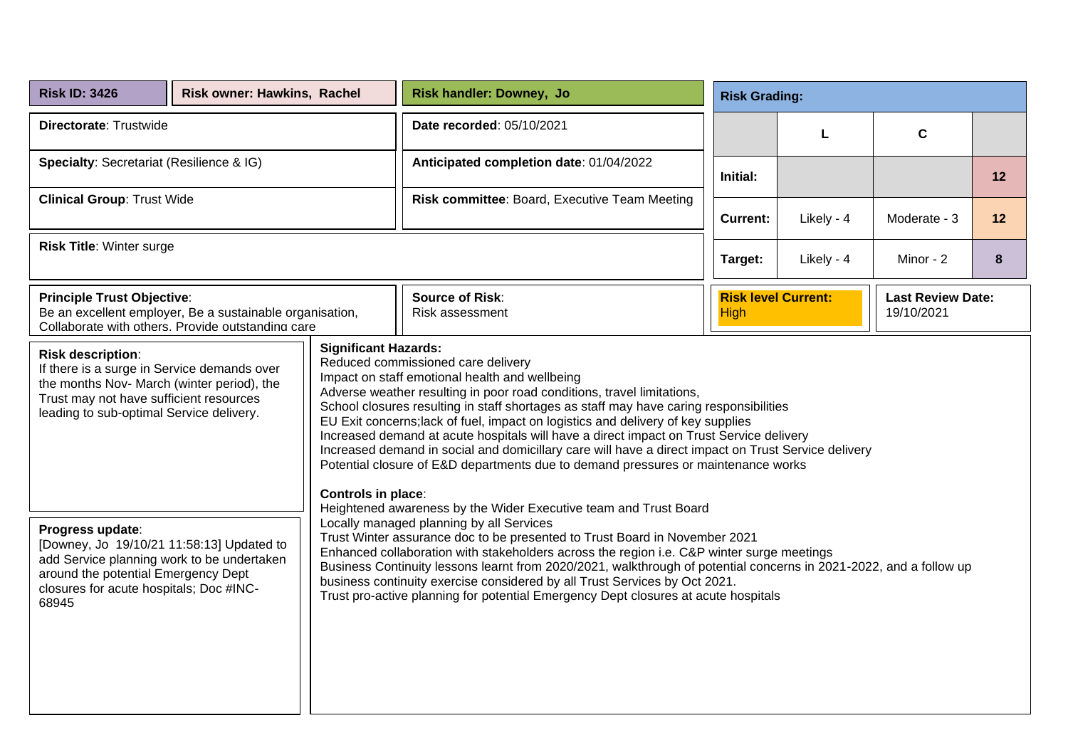| <b>Risk ID: 3426</b>                                                                                                                                                                                                                                                                                                                                                                                                                                                                                                                                                                                                                                                                                                                                                                                                                                                                                            | Risk owner: Hawkins, Rachel |                                                                                                                                                                                                                                                                                                                                                                                                                                                                                                                                                                                   | <b>Risk handler: Downey, Jo</b>                                                        |                 | <b>Risk Grading:</b> |                                        |      |  |
|-----------------------------------------------------------------------------------------------------------------------------------------------------------------------------------------------------------------------------------------------------------------------------------------------------------------------------------------------------------------------------------------------------------------------------------------------------------------------------------------------------------------------------------------------------------------------------------------------------------------------------------------------------------------------------------------------------------------------------------------------------------------------------------------------------------------------------------------------------------------------------------------------------------------|-----------------------------|-----------------------------------------------------------------------------------------------------------------------------------------------------------------------------------------------------------------------------------------------------------------------------------------------------------------------------------------------------------------------------------------------------------------------------------------------------------------------------------------------------------------------------------------------------------------------------------|----------------------------------------------------------------------------------------|-----------------|----------------------|----------------------------------------|------|--|
| Directorate: Trustwide                                                                                                                                                                                                                                                                                                                                                                                                                                                                                                                                                                                                                                                                                                                                                                                                                                                                                          |                             |                                                                                                                                                                                                                                                                                                                                                                                                                                                                                                                                                                                   | Date recorded: 05/10/2021                                                              |                 | L                    | $\mathbf C$                            |      |  |
| Specialty: Secretariat (Resilience & IG)                                                                                                                                                                                                                                                                                                                                                                                                                                                                                                                                                                                                                                                                                                                                                                                                                                                                        |                             |                                                                                                                                                                                                                                                                                                                                                                                                                                                                                                                                                                                   | Anticipated completion date: 01/04/2022                                                | Initial:        |                      |                                        | 12   |  |
| <b>Clinical Group: Trust Wide</b>                                                                                                                                                                                                                                                                                                                                                                                                                                                                                                                                                                                                                                                                                                                                                                                                                                                                               |                             |                                                                                                                                                                                                                                                                                                                                                                                                                                                                                                                                                                                   | Risk committee: Board, Executive Team Meeting                                          | <b>Current:</b> | Likely - 4           | Moderate - 3                           | $12$ |  |
| <b>Risk Title: Winter surge</b>                                                                                                                                                                                                                                                                                                                                                                                                                                                                                                                                                                                                                                                                                                                                                                                                                                                                                 |                             |                                                                                                                                                                                                                                                                                                                                                                                                                                                                                                                                                                                   |                                                                                        | Target:         | Likely - 4           | Minor - 2                              | 8    |  |
| <b>Principle Trust Objective:</b><br>Be an excellent employer, Be a sustainable organisation,<br>Collaborate with others. Provide outstanding care                                                                                                                                                                                                                                                                                                                                                                                                                                                                                                                                                                                                                                                                                                                                                              |                             |                                                                                                                                                                                                                                                                                                                                                                                                                                                                                                                                                                                   | <b>Source of Risk:</b><br><b>Risk level Current:</b><br>Risk assessment<br><b>High</b> |                 |                      | <b>Last Review Date:</b><br>19/10/2021 |      |  |
| <b>Significant Hazards:</b><br><b>Risk description:</b><br>Reduced commissioned care delivery<br>If there is a surge in Service demands over<br>Impact on staff emotional health and wellbeing<br>the months Nov- March (winter period), the<br>Adverse weather resulting in poor road conditions, travel limitations,<br>Trust may not have sufficient resources<br>School closures resulting in staff shortages as staff may have caring responsibilities<br>leading to sub-optimal Service delivery.<br>EU Exit concerns; lack of fuel, impact on logistics and delivery of key supplies<br>Increased demand at acute hospitals will have a direct impact on Trust Service delivery<br>Increased demand in social and domicillary care will have a direct impact on Trust Service delivery<br>Potential closure of E&D departments due to demand pressures or maintenance works<br><b>Controls in place:</b> |                             |                                                                                                                                                                                                                                                                                                                                                                                                                                                                                                                                                                                   |                                                                                        |                 |                      |                                        |      |  |
| Progress update:<br>[Downey, Jo 19/10/21 11:58:13] Updated to<br>add Service planning work to be undertaken<br>around the potential Emergency Dept<br>closures for acute hospitals; Doc #INC-<br>68945                                                                                                                                                                                                                                                                                                                                                                                                                                                                                                                                                                                                                                                                                                          |                             | Heightened awareness by the Wider Executive team and Trust Board<br>Locally managed planning by all Services<br>Trust Winter assurance doc to be presented to Trust Board in November 2021<br>Enhanced collaboration with stakeholders across the region i.e. C&P winter surge meetings<br>Business Continuity lessons learnt from 2020/2021, walkthrough of potential concerns in 2021-2022, and a follow up<br>business continuity exercise considered by all Trust Services by Oct 2021.<br>Trust pro-active planning for potential Emergency Dept closures at acute hospitals |                                                                                        |                 |                      |                                        |      |  |